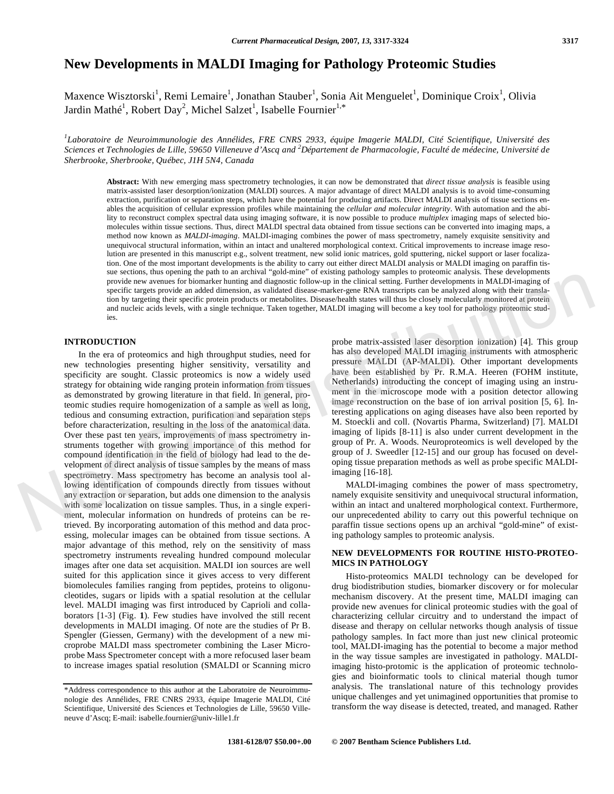# **New Developments in MALDI Imaging for Pathology Proteomic Studies**

Maxence Wisztorski<sup>1</sup>, Remi Lemaire<sup>1</sup>, Jonathan Stauber<sup>1</sup>, Sonia Ait Menguelet<sup>1</sup>, Dominique Croix<sup>1</sup>, Olivia Jardin Mathé<sup>1</sup>, Robert Day<sup>2</sup>, Michel Salzet<sup>1</sup>, Isabelle Fournier<sup>1,\*</sup>

*1 Laboratoire de Neuroimmunologie des Annélides, FRE CNRS 2933, équipe Imagerie MALDI, Cité Scientifique, Université des Sciences et Technologies de Lille, 59650 Villeneuve d'Ascq and <sup>2</sup> Département de Pharmacologie, Faculté de médecine, Université de Sherbrooke, Sherbrooke, Québec, J1H 5N4, Canada* 

**Abstract:** With new emerging mass spectrometry technologies, it can now be demonstrated that *direct tissue analysis* is feasible using matrix-assisted laser desorption/ionization (MALDI) sources. A major advantage of direct MALDI analysis is to avoid time-consuming extraction, purification or separation steps, which have the potential for producing artifacts. Direct MALDI analysis of tissue sections enables the acquisition of cellular expression profiles while maintaining the *cellular and molecular integrity*. With automation and the ability to reconstruct complex spectral data using imaging software, it is now possible to produce *multiplex* imaging maps of selected biomolecules within tissue sections. Thus, direct MALDI spectral data obtained from tissue sections can be converted into imaging maps, a method now known as *MALDI-imaging*. MALDI-imaging combines the power of mass spectrometry, namely exquisite sensitivity and unequivocal structural information, within an intact and unaltered morphological context. Critical improvements to increase image resolution are presented in this manuscript e.g., solvent treatment, new solid ionic matrices, gold sputtering, nickel support or laser focalization. One of the most important developments is the ability to carry out either direct MALDI analysis or MALDI imaging on paraffin tissue sections, thus opening the path to an archival "gold-mine" of existing pathology samples to proteomic analysis. These developments provide new avenues for biomarker hunting and diagnostic follow-up in the clinical setting. Further developments in MALDI-imaging of specific targets provide an added dimension, as validated disease-marker-gene RNA transcripts can be analyzed along with their translation by targeting their specific protein products or metabolites. Disease/health states will thus be closely molecularly monitored at protein and nucleic acids levels, with a single technique. Taken together, MALDI imaging will become a key tool for pathology proteomic studies.

## **INTRODUCTION**

 In the era of proteomics and high throughput studies, need for new technologies presenting higher sensitivity, versatility and specificity are sought. Classic proteomics is now a widely used strategy for obtaining wide ranging protein information from tissues as demonstrated by growing literature in that field. In general, proteomic studies require homogenization of a sample as well as long, tedious and consuming extraction, purification and separation steps before characterization, resulting in the loss of the anatomical data. Over these past ten years, improvements of mass spectrometry instruments together with growing importance of this method for compound identification in the field of biology had lead to the development of direct analysis of tissue samples by the means of mass spectrometry. Mass spectrometry has become an analysis tool allowing identification of compounds directly from tissues without any extraction or separation, but adds one dimension to the analysis with some localization on tissue samples. Thus, in a single experiment, molecular information on hundreds of proteins can be retrieved. By incorporating automation of this method and data processing, molecular images can be obtained from tissue sections. A major advantage of this method, rely on the sensitivity of mass spectrometry instruments revealing hundred compound molecular images after one data set acquisition. MALDI ion sources are well suited for this application since it gives access to very different biomolecules families ranging from peptides, proteins to oligonucleotides, sugars or lipids with a spatial resolution at the cellular level. MALDI imaging was first introduced by Caprioli and collaborators [1-3] (Fig. **1**). Few studies have involved the still recent developments in MALDI imaging. Of note are the studies of Pr B. Spengler (Giessen, Germany) with the development of a new microprobe MALDI mass spectrometer combining the Laser Microprobe Mass Spectrometer concept with a more refocused laser beam to increase images spatial resolution (SMALDI or Scanning micro sus sections, must operate paint on a startest of the matrix goal since of example and the section and the section of the section of the section of the section of the section of the section of the section of the section o

probe matrix-assisted laser desorption ionization) [4]. This group has also developed MALDI imaging instruments with atmospheric pressure MALDI (AP-MALDI). Other important developments have been established by Pr. R.M.A. Heeren (FOHM institute, Netherlands) introducting the concept of imaging using an instrument in the microscope mode with a position detector allowing image reconstruction on the base of ion arrival position [5, 6]. Interesting applications on aging diseases have also been reported by M. Stoeckli and coll. (Novartis Pharma, Switzerland) [7]. MALDI imaging of lipids [8-11] is also under current development in the group of Pr. A. Woods. Neuroproteomics is well developed by the group of J. Sweedler [12-15] and our group has focused on developing tissue preparation methods as well as probe specific MALDIimaging [16-18].

 MALDI-imaging combines the power of mass spectrometry, namely exquisite sensitivity and unequivocal structural information, within an intact and unaltered morphological context. Furthermore, our unprecedented ability to carry out this powerful technique on paraffin tissue sections opens up an archival "gold-mine" of existing pathology samples to proteomic analysis.

# **NEW DEVELOPMENTS FOR ROUTINE HISTO-PROTEO-MICS IN PATHOLOGY**

 Histo-proteomics MALDI technology can be developed for drug biodistribution studies, biomarker discovery or for molecular mechanism discovery. At the present time, MALDI imaging can provide new avenues for clinical proteomic studies with the goal of characterizing cellular circuitry and to understand the impact of disease and therapy on cellular networks though analysis of tissue pathology samples. In fact more than just new clinical proteomic tool, MALDI-imaging has the potential to become a major method in the way tissue samples are investigated in pathology. MALDIimaging histo-protomic is the application of proteomic technologies and bioinformatic tools to clinical material though tumor analysis. The translational nature of this technology provides unique challenges and yet unimagined opportunities that promise to transform the way disease is detected, treated, and managed. Rather

<sup>\*</sup>Address correspondence to this author at the Laboratoire de Neuroimmunologie des Annélides, FRE CNRS 2933, équipe Imagerie MALDI, Cité Scientifique, Université des Sciences et Technologies de Lille, 59650 Villeneuve d'Ascq; E-mail: isabelle.fournier@univ-lille1.fr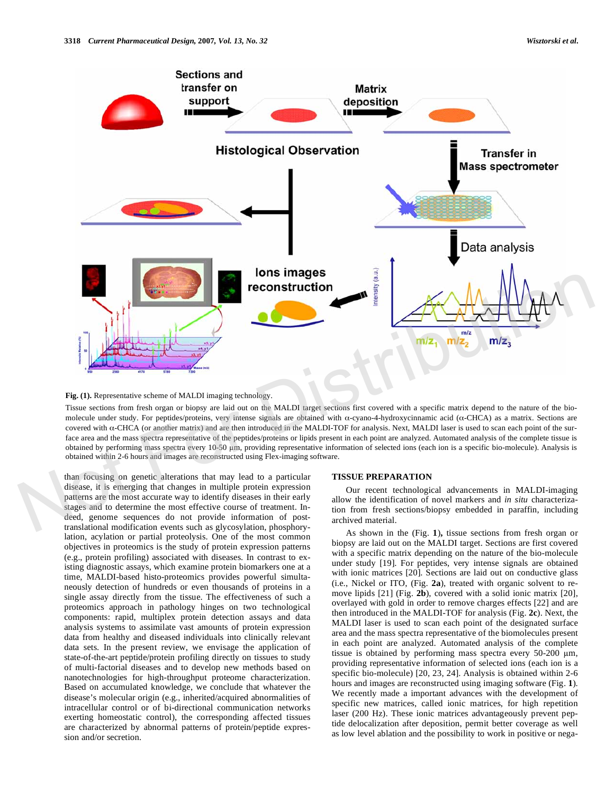



Tissue sections from fresh organ or biopsy are laid out on the MALDI target sections first covered with a specific matrix depend to the nature of the biomolecule under study. For peptides/proteins, very intense signals are obtained with  $\alpha$ -cyano-4-hydroxycinnamic acid ( $\alpha$ -CHCA) as a matrix. Sections are covered with  $\alpha$ -CHCA (or another matrix) and are then introduced in the MALDI-TOF for analysis. Next, MALDI laser is used to scan each point of the surface area and the mass spectra representative of the peptides/proteins or lipids present in each point are analyzed. Automated analysis of the complete tissue is obtained by performing mass spectra every 10-50 µm, providing representative information of selected ions (each ion is a specific bio-molecule). Analysis is obtained within 2-6 hours and images are reconstructed using Flex-imaging software.

than focusing on genetic alterations that may lead to a particular disease, it is emerging that changes in multiple protein expression patterns are the most accurate way to identify diseases in their early stages and to determine the most effective course of treatment. Indeed, genome sequences do not provide information of posttranslational modification events such as glycosylation, phosphorylation, acylation or partial proteolysis. One of the most common objectives in proteomics is the study of protein expression patterns (e.g., protein profiling) associated with diseases. In contrast to existing diagnostic assays, which examine protein biomarkers one at a time, MALDI-based histo-proteomics provides powerful simultaneously detection of hundreds or even thousands of proteins in a single assay directly from the tissue. The effectiveness of such a proteomics approach in pathology hinges on two technological components: rapid, multiplex protein detection assays and data analysis systems to assimilate vast amounts of protein expression data from healthy and diseased individuals into clinically relevant data sets. In the present review, we envisage the application of state-of-the-art peptide/protein profiling directly on tissues to study of multi-factorial diseases and to develop new methods based on nanotechnologies for high-throughput proteome characterization. Based on accumulated knowledge, we conclude that whatever the disease's molecular origin (e.g., inherited/acquired abnormalities of intracellular control or of bi-directional communication networks exerting homeostatic control), the corresponding affected tissues are characterized by abnormal patterns of protein/peptide expression and/or secretion.

#### **TISSUE PREPARATION**

 Our recent technological advancements in MALDI-imaging allow the identification of novel markers and *in situ* characterization from fresh sections/biopsy embedded in paraffin, including archived material.

 As shown in the (Fig. **1**)**,** tissue sections from fresh organ or biopsy are laid out on the MALDI target. Sections are first covered with a specific matrix depending on the nature of the bio-molecule under study [19]. For peptides, very intense signals are obtained with ionic matrices [20]. Sections are laid out on conductive glass (i.e., Nickel or ITO, (Fig. **2a**), treated with organic solvent to remove lipids [21] (Fig. **2b**), covered with a solid ionic matrix [20], overlayed with gold in order to remove charges effects [22] and are then introduced in the MALDI-TOF for analysis (Fig. **2c**). Next, the MALDI laser is used to scan each point of the designated surface area and the mass spectra representative of the biomolecules present in each point are analyzed. Automated analysis of the complete tissue is obtained by performing mass spectra every  $50-200 \mu m$ , providing representative information of selected ions (each ion is a specific bio-molecule) [20, 23, 24]. Analysis is obtained within 2-6 hours and images are reconstructed using imaging software (Fig. **1**). We recently made a important advances with the development of specific new matrices, called ionic matrices, for high repetition laser (200 Hz). These ionic matrices advantageously prevent peptide delocalization after deposition, permit better coverage as well as low level ablation and the possibility to work in positive or nega-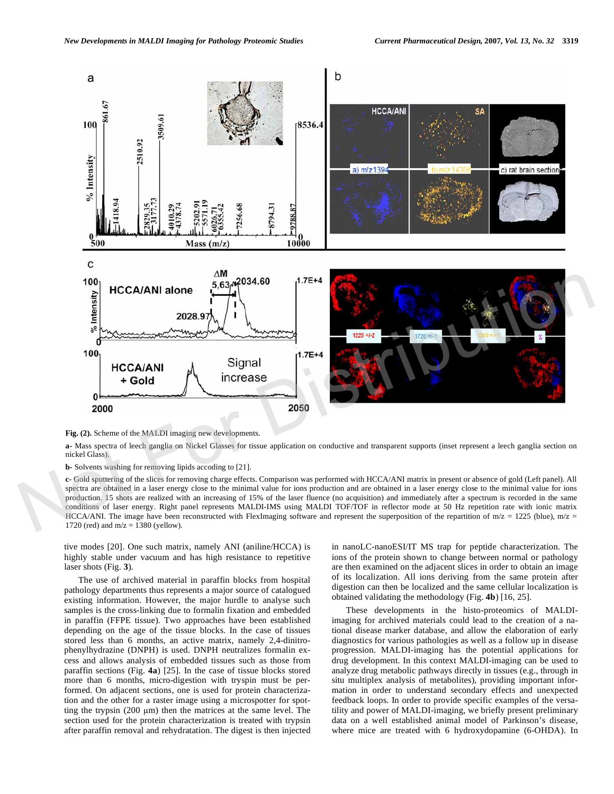

**Fig. (2).** Scheme of the MALDI imaging new developments.

**a-** Mass spectra of leech ganglia on Nickel Glasses for tissue application on conductive and transparent supports (inset represent a leech ganglia section on nickel Glass).

**b-** Solvents washing for removing lipids accoding to [21].

**c-** Gold sputtering of the slices for removing charge effects. Comparison was performed with HCCA/ANI matrix in present or absence of gold (Left panel). All spectra are obtained in a laser energy close to the minimal value for ions production and are obtained in a laser energy close to the minimal value for ions production. 15 shots are realized with an increasing of 15% of the laser fluence (no acquisition) and immediately after a spectrum is recorded in the same conditions of laser energy. Right panel represents MALDI-IMS using MALDI TOF/TOF in reflector mode at 50 Hz repetition rate with ionic matrix HCCA/ANI. The image have been reconstructed with FlexImaging software and represent the superposition of the repartition of m/z = 1225 (blue), m/z = 1720 (red) and  $m/z = 1380$  (yellow).

tive modes [20]. One such matrix, namely ANI (aniline/HCCA) is highly stable under vacuum and has high resistance to repetitive laser shots (Fig. **3**).

 The use of archived material in paraffin blocks from hospital pathology departments thus represents a major source of catalogued existing information. However, the major hurdle to analyse such samples is the cross-linking due to formalin fixation and embedded in paraffin (FFPE tissue). Two approaches have been established depending on the age of the tissue blocks. In the case of tissues stored less than 6 months, an active matrix, namely 2,4-dinitrophenylhydrazine (DNPH) is used. DNPH neutralizes formalin excess and allows analysis of embedded tissues such as those from paraffin sections (Fig. **4a**) [25]. In the case of tissue blocks stored more than 6 months, micro-digestion with tryspin must be performed. On adjacent sections, one is used for protein characterization and the other for a raster image using a microspotter for spotting the trypsin  $(200 \mu m)$  then the matrices at the same level. The section used for the protein characterization is treated with trypsin after paraffin removal and rehydratation. The digest is then injected in nanoLC-nanoESI/IT MS trap for peptide characterization. The ions of the protein shown to change between normal or pathology are then examined on the adjacent slices in order to obtain an image of its localization. All ions deriving from the same protein after digestion can then be localized and the same cellular localization is obtained validating the methodology (Fig. **4b**) [16, 25].

 These developments in the histo-proteomics of MALDIimaging for archived materials could lead to the creation of a national disease marker database, and allow the elaboration of early diagnostics for various pathologies as well as a follow up in disease progression. MALDI-imaging has the potential applications for drug development. In this context MALDI-imaging can be used to analyze drug metabolic pathways directly in tissues (e.g., through in situ multiplex analysis of metabolites), providing important information in order to understand secondary effects and unexpected feedback loops. In order to provide specific examples of the versatility and power of MALDI-imaging, we briefly present preliminary data on a well established animal model of Parkinson's disease, where mice are treated with 6 hydroxydopamine (6-OHDA). In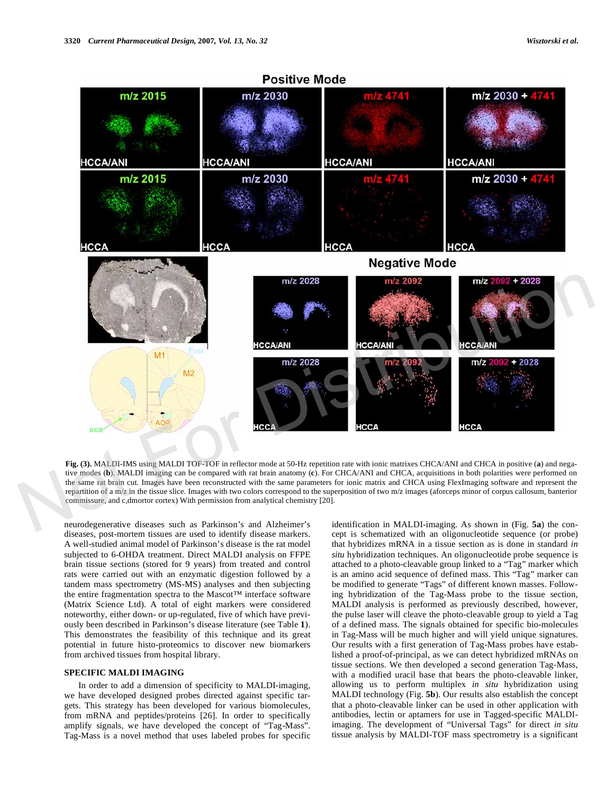

**Fig. (3).** MALDI-IMS using MALDI TOF-TOF in reflector mode at 50-Hz repetition rate with ionic matrixes CHCA/ANI and CHCA in positive (**a**) and negative modes (**b**). MALDI imaging can be compared with rat brain anatomy (**c**). For CHCA/ANI and CHCA, acquisitions in both polarities were performed on the same rat brain cut. Images have been reconstructed with the same parameters for ionic matrix and CHCA using FlexImaging software and represent the repartition of a m/z in the tissue slice. Images with two colors correspond to the superposition of two m/z images (aforceps minor of corpus callosum, banterior commissure, and c,dmortor cortex) With permission from analytical chemistry [20].

neurodegenerative diseases such as Parkinson's and Alzheimer's diseases, post-mortem tissues are used to identify disease markers. A well-studied animal model of Parkinson's disease is the rat model subjected to 6-OHDA treatment. Direct MALDI analysis on FFPE brain tissue sections (stored for 9 years) from treated and control rats were carried out with an enzymatic digestion followed by a tandem mass spectrometry (MS-MS) analyses and then subjecting the entire fragmentation spectra to the Mascot™ interface software (Matrix Science Ltd). A total of eight markers were considered noteworthy, either down- or up-regulated, five of which have previously been described in Parkinson's disease literature (see Table **1**). This demonstrates the feasibility of this technique and its great potential in future histo-proteomics to discover new biomarkers from archived tissues from hospital library.

## **SPECIFIC MALDI IMAGING**

 In order to add a dimension of specificity to MALDI-imaging, we have developed designed probes directed against specific targets. This strategy has been developed for various biomolecules, from mRNA and peptides/proteins [26]. In order to specifically amplify signals, we have developed the concept of "Tag-Mass". Tag-Mass is a novel method that uses labeled probes for specific identification in MALDI-imaging. As shown in (Fig. **5a**) the concept is schematized with an oligonucleotide sequence (or probe) that hybridizes mRNA in a tissue section as is done in standard *in situ* hybridization techniques. An oligonucleotide probe sequence is attached to a photo-cleavable group linked to a "Tag" marker which is an amino acid sequence of defined mass. This "Tag" marker can be modified to generate "Tags" of different known masses. Following hybridization of the Tag-Mass probe to the tissue section, MALDI analysis is performed as previously described, however, the pulse laser will cleave the photo-cleavable group to yield a Tag of a defined mass. The signals obtained for specific bio-molecules in Tag-Mass will be much higher and will yield unique signatures. Our results with a first generation of Tag-Mass probes have established a proof-of-principal, as we can detect hybridized mRNAs on tissue sections. We then developed a second generation Tag-Mass, with a modified uracil base that bears the photo-cleavable linker, allowing us to perform multiplex *in situ* hybridization using MALDI technology (Fig. **5b**). Our results also establish the concept that a photo-cleavable linker can be used in other application with antibodies, lectin or aptamers for use in Tagged-specific MALDIimaging. The development of "Universal Tags" for direct *in situ* tissue analysis by MALDI-TOF mass spectrometry is a significant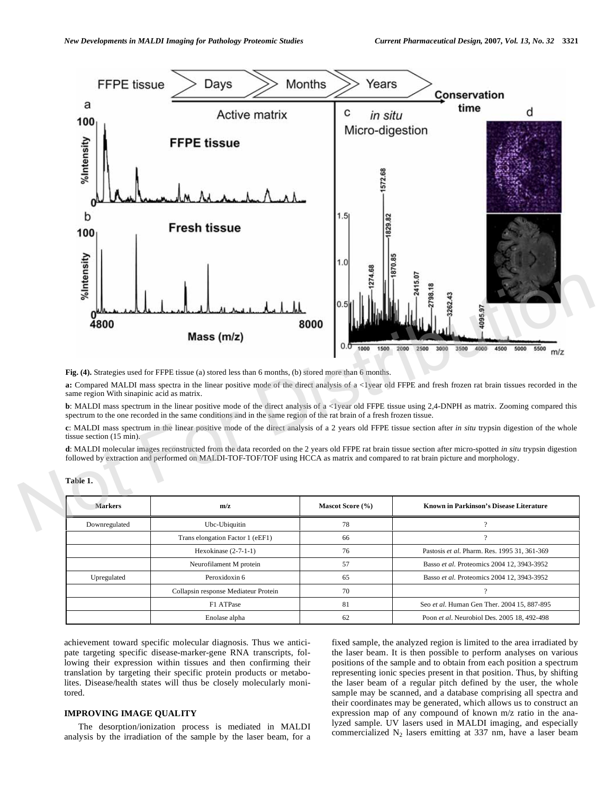

**Fig. (4).** Strategies used for FFPE tissue (a) stored less than 6 months, (b) stored more than 6 months.

**a:** Compared MALDI mass spectra in the linear positive mode of the direct analysis of a <1year old FFPE and fresh frozen rat brain tissues recorded in the same region With sinapinic acid as matrix.

**b**: MALDI mass spectrum in the linear positive mode of the direct analysis of a <1year old FFPE tissue using 2,4-DNPH as matrix. Zooming compared this spectrum to the one recorded in the same conditions and in the same region of the rat brain of a fresh frozen tissue.

**c**: MALDI mass spectrum in the linear positive mode of the direct analysis of a 2 years old FFPE tissue section after *in situ* trypsin digestion of the whole tissue section (15 min).

**d**: MALDI molecular images reconstructed from the data recorded on the 2 years old FFPE rat brain tissue section after micro-spotted *in situ* trypsin digestion followed by extraction and performed on MALDI-TOF-TOF/TOF using HCCA as matrix and compared to rat brain picture and morphology.

| <b>Markers</b> | m/z                                  | Mascot Score (%) | <b>Known in Parkinson's Disease Literature</b> |
|----------------|--------------------------------------|------------------|------------------------------------------------|
| Downregulated  | Ubc-Ubiquitin                        | 78               |                                                |
|                | Trans elongation Factor 1 (eEF1)     | 66               |                                                |
|                | Hexokinase $(2-7-1-1)$               | 76               | Pastosis et al. Pharm. Res. 1995 31, 361-369   |
|                | Neurofilament M protein              | 57               | Basso et al. Proteomics 2004 12, 3943-3952     |
| Upregulated    | Peroxidoxin 6                        | 65               | Basso et al. Proteomics 2004 12, 3943-3952     |
|                | Collapsin response Mediateur Protein | 70               |                                                |
|                | F1 ATPase                            | 81               | Seo et al. Human Gen Ther. 2004 15, 887-895    |
|                | Enolase alpha                        | 62               | Poon et al. Neurobiol Des. 2005 18, 492-498    |

**Table 1.** 

achievement toward specific molecular diagnosis. Thus we anticipate targeting specific disease-marker-gene RNA transcripts, following their expression within tissues and then confirming their translation by targeting their specific protein products or metabolites. Disease/health states will thus be closely molecularly monitored.

#### **IMPROVING IMAGE QUALITY**

 The desorption/ionization process is mediated in MALDI analysis by the irradiation of the sample by the laser beam, for a fixed sample, the analyzed region is limited to the area irradiated by the laser beam. It is then possible to perform analyses on various positions of the sample and to obtain from each position a spectrum representing ionic species present in that position. Thus, by shifting the laser beam of a regular pitch defined by the user, the whole sample may be scanned, and a database comprising all spectra and their coordinates may be generated, which allows us to construct an expression map of any compound of known m/z ratio in the analyzed sample. UV lasers used in MALDI imaging, and especially commercialized  $N_2$  lasers emitting at 337 nm, have a laser beam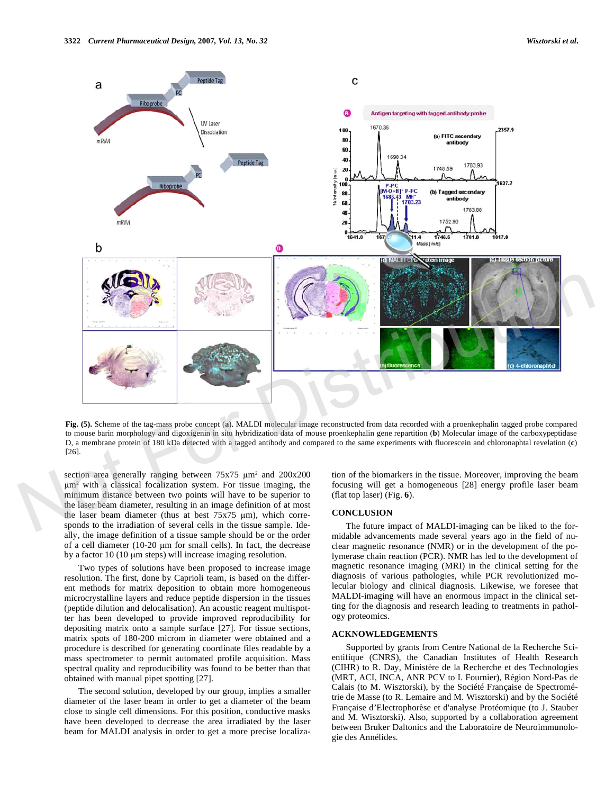

**Fig. (5).** Scheme of the tag-mass probe concept (**a**). MALDI molecular image reconstructed from data recorded with a proenkephalin tagged probe compared to mouse barin morphology and digoxigenin in situ hybridization data of mouse proenkephalin gene repartition (**b**) Molecular image of the carboxypeptidase D, a membrane protein of 180 kDa detected with a tagged antibody and compared to the same experiments with fluorescein and chloronaphtal revelation (**c**) [26].

section area generally ranging between  $75x75 \mu m^2$  and  $200x200$ m- with a classical focalization system. For tissue imaging, the minimum distance between two points will have to be superior to the laser beam diameter, resulting in an image definition of at most the laser beam diameter (thus at best  $75x75 \mu m$ ), which corresponds to the irradiation of several cells in the tissue sample. Ideally, the image definition of a tissue sample should be or the order of a cell diameter  $(10-20 \mu m)$  for small cells). In fact, the decrease by a factor 10 (10 μm steps) will increase imaging resolution.

 Two types of solutions have been proposed to increase image resolution. The first, done by Caprioli team, is based on the different methods for matrix deposition to obtain more homogeneous microcrystalline layers and reduce peptide dispersion in the tissues (peptide dilution and delocalisation). An acoustic reagent multispotter has been developed to provide improved reproducibility for depositing matrix onto a sample surface [27]. For tissue sections, matrix spots of 180-200 microm in diameter were obtained and a procedure is described for generating coordinate files readable by a mass spectrometer to permit automated profile acquisition. Mass spectral quality and reproducibility was found to be better than that obtained with manual pipet spotting [27].

 The second solution, developed by our group, implies a smaller diameter of the laser beam in order to get a diameter of the beam close to single cell dimensions. For this position, conductive masks have been developed to decrease the area irradiated by the laser beam for MALDI analysis in order to get a more precise localization of the biomarkers in the tissue. Moreover, improving the beam focusing will get a homogeneous [28] energy profile laser beam (flat top laser) (Fig. **6**).

#### **CONCLUSION**

 The future impact of MALDI-imaging can be liked to the formidable advancements made several years ago in the field of nuclear magnetic resonance (NMR) or in the development of the polymerase chain reaction (PCR). NMR has led to the development of magnetic resonance imaging (MRI) in the clinical setting for the diagnosis of various pathologies, while PCR revolutionized molecular biology and clinical diagnosis. Likewise, we foresee that MALDI-imaging will have an enormous impact in the clinical setting for the diagnosis and research leading to treatments in pathology proteomics.

#### **ACKNOWLEDGEMENTS**

 Supported by grants from Centre National de la Recherche Scientifique (CNRS), the Canadian Institutes of Health Research (CIHR) to R. Day, Ministère de la Recherche et des Technologies (MRT, ACI, INCA, ANR PCV to I. Fournier), Région Nord-Pas de Calais (to M. Wisztorski), by the Société Française de Spectrométrie de Masse (to R. Lemaire and M. Wisztorski) and by the Société Française d'Electrophorèse et d'analyse Protéomique (to J. Stauber and M. Wisztorski). Also, supported by a collaboration agreement between Bruker Daltonics and the Laboratoire de Neuroimmunologie des Annélides.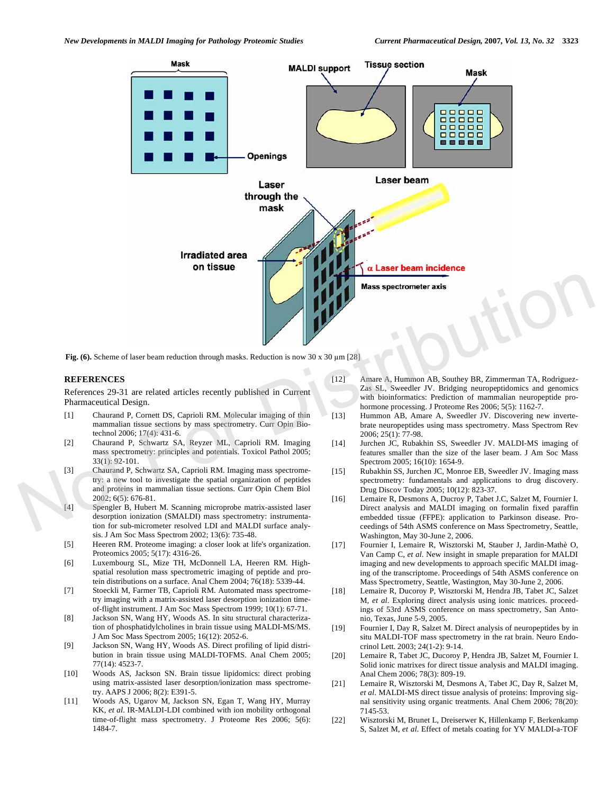

Fig. (6). Scheme of laser beam reduction through masks. Reduction is now 30 x 30  $\mu$ m [28]

# **REFERENCES**

References 29-31 are related articles recently published in Current Pharmaceutical Design.

- [1] Chaurand P, Cornett DS, Caprioli RM. Molecular imaging of thin mammalian tissue sections by mass spectrometry. Curr Opin Biotechnol 2006; 17(4): 431-6.
- [2] Chaurand P, Schwartz SA, Reyzer ML, Caprioli RM. Imaging mass spectrometry: principles and potentials. Toxicol Pathol 2005;  $33(1)$ : 92-101.
- [3] Chaurand P, Schwartz SA, Caprioli RM. Imaging mass spectrometry: a new tool to investigate the spatial organization of peptides and proteins in mammalian tissue sections. Curr Opin Chem Biol 2002; 6(5): 676-81.
- [4] Spengler B, Hubert M. Scanning microprobe matrix-assisted laser desorption ionization (SMALDI) mass spectrometry: instrumentation for sub-micrometer resolved LDI and MALDI surface analysis. J Am Soc Mass Spectrom 2002; 13(6): 735-48.
- [5] Heeren RM. Proteome imaging: a closer look at life's organization. Proteomics 2005; 5(17): 4316-26.
- [6] Luxembourg SL, Mize TH, McDonnell LA, Heeren RM. Highspatial resolution mass spectrometric imaging of peptide and protein distributions on a surface. Anal Chem 2004; 76(18): 5339-44.
- [7] Stoeckli M, Farmer TB, Caprioli RM. Automated mass spectrometry imaging with a matrix-assisted laser desorption ionization timeof-flight instrument. J Am Soc Mass Spectrom 1999; 10(1): 67-71.
- [8] Jackson SN, Wang HY, Woods AS. In situ structural characterization of phosphatidylcholines in brain tissue using MALDI-MS/MS. J Am Soc Mass Spectrom 2005; 16(12): 2052-6.
- [9] Jackson SN, Wang HY, Woods AS. Direct profiling of lipid distribution in brain tissue using MALDI-TOFMS. Anal Chem 2005; 77(14): 4523-7.
- [10] Woods AS, Jackson SN. Brain tissue lipidomics: direct probing using matrix-assisted laser desorption/ionization mass spectrometry. AAPS J 2006; 8(2): E391-5.
- [11] Woods AS, Ugarov M, Jackson SN, Egan T, Wang HY, Murray KK, *et al*. IR-MALDI-LDI combined with ion mobility orthogonal time-of-flight mass spectrometry. J Proteome Res 2006; 5(6): 1484-7.
- [12] Amare A, Hummon AB, Southey BR, Zimmerman TA, Rodriguez-Zas SL, Sweedler JV. Bridging neuropeptidomics and genomics with bioinformatics: Prediction of mammalian neuropeptide prohormone processing. J Proteome Res 2006; 5(5): 1162-7.
- [13] Hummon AB, Amare A, Sweedler JV. Discovering new invertebrate neuropeptides using mass spectrometry. Mass Spectrom Rev 2006; 25(1): 77-98.
- [14] Jurchen JC, Rubakhin SS, Sweedler JV. MALDI-MS imaging of features smaller than the size of the laser beam. J Am Soc Mass Spectrom 2005; 16(10): 1654-9.
- [15] Rubakhin SS, Jurchen JC, Monroe EB, Sweedler JV. Imaging mass spectrometry: fundamentals and applications to drug discovery. Drug Discov Today 2005; 10(12): 823-37.
- [16] Lemaire R, Desmons A, Ducroy P, Tabet J.C, Salzet M, Fournier I. Direct analysis and MALDI imaging on formalin fixed paraffin embedded tissue (FFPE): application to Parkinson disease. Proceedings of 54th ASMS conference on Mass Spectrometry, Seattle, Washington, May 30-June 2, 2006.
- [17] Fournier I, Lemaire R, Wisztorski M, Stauber J, Jardin-Mathè O, Van Camp C, *et al*. New insight in smaple preparation for MALDI imaging and new developments to approach specific MALDI imaging of the transcriptome. Proceedings of 54th ASMS conference on Mass Spectrometry, Seattle, Wastington, May 30-June 2, 2006.
- [18] Lemaire R, Ducoroy P, Wisztorski M, Hendra JB, Tabet JC, Salzet M, *et al*. Exploring direct analysis using ionic matrices. proceedings of 53rd ASMS conference on mass spectrometry, San Antonio, Texas, June 5-9, 2005.
- [19] Fournier I, Day R, Salzet M. Direct analysis of neuropeptides by in situ MALDI-TOF mass spectrometry in the rat brain. Neuro Endocrinol Lett. 2003; 24(1-2): 9-14.
- [20] Lemaire R, Tabet JC, Ducoroy P, Hendra JB, Salzet M, Fournier I. Solid ionic matrixes for direct tissue analysis and MALDI imaging. Anal Chem 2006; 78(3): 809-19.
- [21] Lemaire R, Wisztorski M, Desmons A, Tabet JC, Day R, Salzet M, *et al*. MALDI-MS direct tissue analysis of proteins: Improving signal sensitivity using organic treatments. Anal Chem 2006; 78(20): 7145-53.
- [22] Wisztorski M, Brunet L, Dreiserwer K, Hillenkamp F, Berkenkamp S, Salzet M, *et al*. Effect of metals coating for YV MALDI-a-TOF